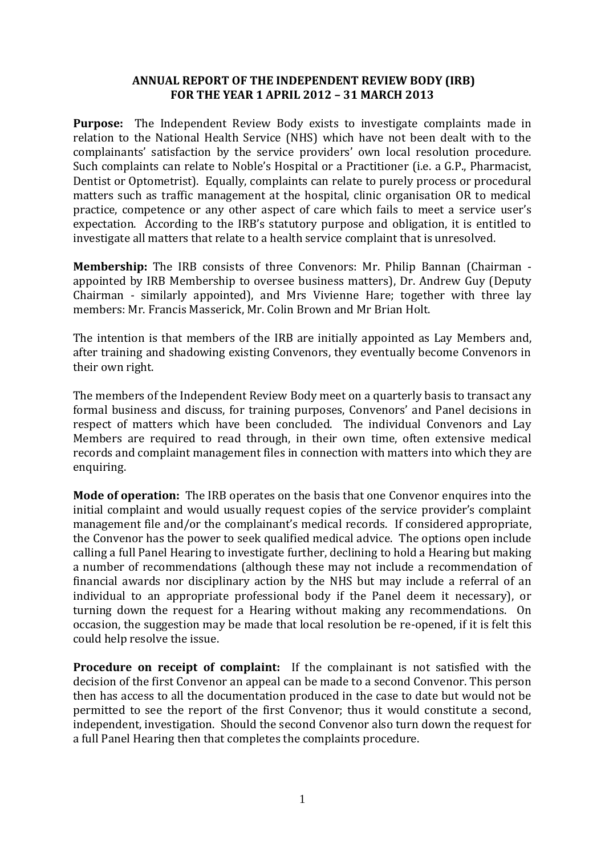#### **ANNUAL REPORT OF THE INDEPENDENT REVIEW BODY (IRB) FOR THE YEAR 1 APRIL 2012 – 31 MARCH 2013**

**Purpose:** The Independent Review Body exists to investigate complaints made in relation to the National Health Service (NHS) which have not been dealt with to the complainants' satisfaction by the service providers' own local resolution procedure. Such complaints can relate to Noble's Hospital or a Practitioner (i.e. a G.P., Pharmacist, Dentist or Optometrist). Equally, complaints can relate to purely process or procedural matters such as traffic management at the hospital, clinic organisation OR to medical practice, competence or any other aspect of care which fails to meet a service user's expectation. According to the IRB's statutory purpose and obligation, it is entitled to investigate all matters that relate to a health service complaint that is unresolved.

**Membership:** The IRB consists of three Convenors: Mr. Philip Bannan (Chairman appointed by IRB Membership to oversee business matters), Dr. Andrew Guy (Deputy Chairman - similarly appointed), and Mrs Vivienne Hare; together with three lay members: Mr. Francis Masserick, Mr. Colin Brown and Mr Brian Holt.

The intention is that members of the IRB are initially appointed as Lay Members and, after training and shadowing existing Convenors, they eventually become Convenors in their own right.

The members of the Independent Review Body meet on a quarterly basis to transact any formal business and discuss, for training purposes, Convenors' and Panel decisions in respect of matters which have been concluded. The individual Convenors and Lay Members are required to read through, in their own time, often extensive medical records and complaint management files in connection with matters into which they are enquiring.

**Mode of operation:** The IRB operates on the basis that one Convenor enquires into the initial complaint and would usually request copies of the service provider's complaint management file and/or the complainant's medical records. If considered appropriate, the Convenor has the power to seek qualified medical advice. The options open include calling a full Panel Hearing to investigate further, declining to hold a Hearing but making a number of recommendations (although these may not include a recommendation of financial awards nor disciplinary action by the NHS but may include a referral of an individual to an appropriate professional body if the Panel deem it necessary), or turning down the request for a Hearing without making any recommendations. On occasion, the suggestion may be made that local resolution be re-opened, if it is felt this could help resolve the issue.

**Procedure on receipt of complaint:** If the complainant is not satisfied with the decision of the first Convenor an appeal can be made to a second Convenor. This person then has access to all the documentation produced in the case to date but would not be permitted to see the report of the first Convenor; thus it would constitute a second, independent, investigation. Should the second Convenor also turn down the request for a full Panel Hearing then that completes the complaints procedure.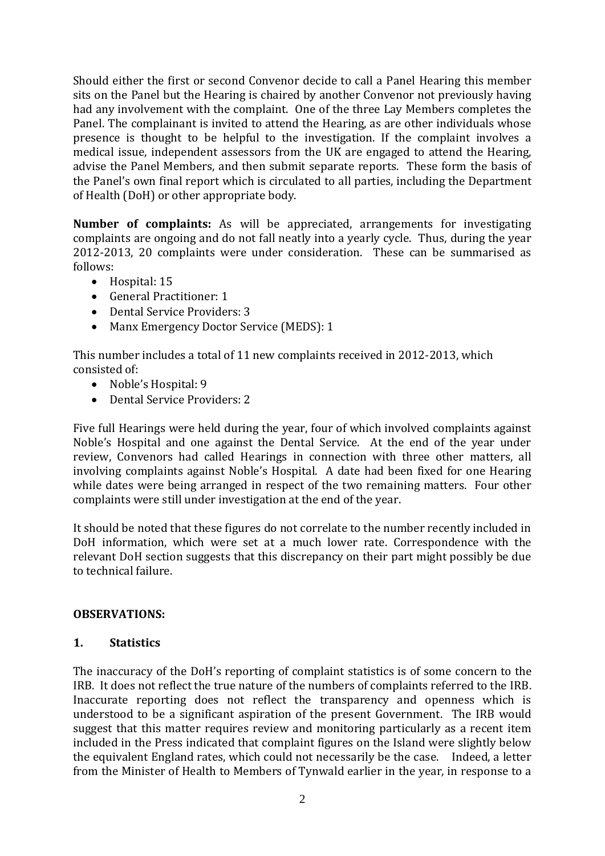Should either the first or second Convenor decide to call a Panel Hearing this member sits on the Panel but the Hearing is chaired by another Convenor not previously having had any involvement with the complaint. One of the three Lay Members completes the Panel. The complainant is invited to attend the Hearing, as are other individuals whose presence is thought to be helpful to the investigation. If the complaint involves a medical issue, independent assessors from the UK are engaged to attend the Hearing, advise the Panel Members, and then submit separate reports. These form the basis of the Panel's own final report which is circulated to all parties, including the Department of Health (DoH) or other appropriate body.

**Number of complaints:** As will be appreciated, arrangements for investigating complaints are ongoing and do not fall neatly into a yearly cycle. Thus, during the year 2012-2013, 20 complaints were under consideration. These can be summarised as follows:

- Hospital: 15
- General Practitioner: 1
- Dental Service Providers: 3
- Manx Emergency Doctor Service (MEDS): 1

This number includes a total of 11 new complaints received in 2012-2013, which consisted of:

- Noble's Hospital: 9
- Dental Service Providers: 2

Five full Hearings were held during the year, four of which involved complaints against Noble's Hospital and one against the Dental Service. At the end of the year under review, Convenors had called Hearings in connection with three other matters, all involving complaints against Noble's Hospital. A date had been fixed for one Hearing while dates were being arranged in respect of the two remaining matters. Four other complaints were still under investigation at the end of the year.

It should be noted that these figures do not correlate to the number recently included in DoH information, which were set at a much lower rate. Correspondence with the relevant DoH section suggests that this discrepancy on their part might possibly be due to technical failure.

## **OBSERVATIONS:**

## **1. Statistics**

The inaccuracy of the DoH's reporting of complaint statistics is of some concern to the IRB. It does not reflect the true nature of the numbers of complaints referred to the IRB. Inaccurate reporting does not reflect the transparency and openness which is understood to be a significant aspiration of the present Government. The IRB would suggest that this matter requires review and monitoring particularly as a recent item included in the Press indicated that complaint figures on the Island were slightly below the equivalent England rates, which could not necessarily be the case. Indeed, a letter from the Minister of Health to Members of Tynwald earlier in the year, in response to a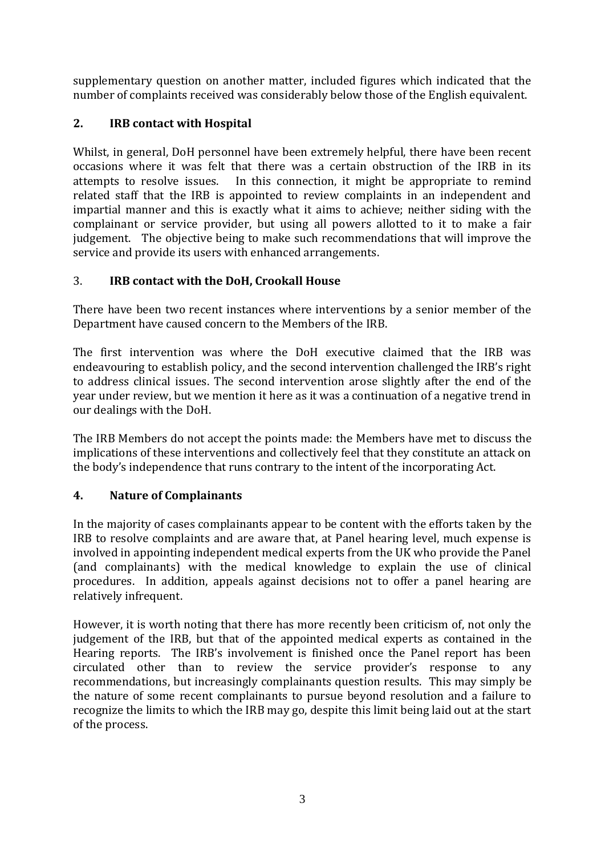supplementary question on another matter, included figures which indicated that the number of complaints received was considerably below those of the English equivalent.

# **2. IRB contact with Hospital**

Whilst, in general, DoH personnel have been extremely helpful, there have been recent occasions where it was felt that there was a certain obstruction of the IRB in its attempts to resolve issues. In this connection, it might be appropriate to remind related staff that the IRB is appointed to review complaints in an independent and impartial manner and this is exactly what it aims to achieve; neither siding with the complainant or service provider, but using all powers allotted to it to make a fair judgement. The objective being to make such recommendations that will improve the service and provide its users with enhanced arrangements.

## 3. **IRB contact with the DoH, Crookall House**

There have been two recent instances where interventions by a senior member of the Department have caused concern to the Members of the IRB.

The first intervention was where the DoH executive claimed that the IRB was endeavouring to establish policy, and the second intervention challenged the IRB's right to address clinical issues. The second intervention arose slightly after the end of the year under review, but we mention it here as it was a continuation of a negative trend in our dealings with the DoH.

The IRB Members do not accept the points made: the Members have met to discuss the implications of these interventions and collectively feel that they constitute an attack on the body's independence that runs contrary to the intent of the incorporating Act.

## **4. Nature of Complainants**

In the majority of cases complainants appear to be content with the efforts taken by the IRB to resolve complaints and are aware that, at Panel hearing level, much expense is involved in appointing independent medical experts from the UK who provide the Panel (and complainants) with the medical knowledge to explain the use of clinical procedures. In addition, appeals against decisions not to offer a panel hearing are relatively infrequent.

However, it is worth noting that there has more recently been criticism of, not only the judgement of the IRB, but that of the appointed medical experts as contained in the Hearing reports. The IRB's involvement is finished once the Panel report has been circulated other than to review the service provider's response to any recommendations, but increasingly complainants question results. This may simply be the nature of some recent complainants to pursue beyond resolution and a failure to recognize the limits to which the IRB may go, despite this limit being laid out at the start of the process.